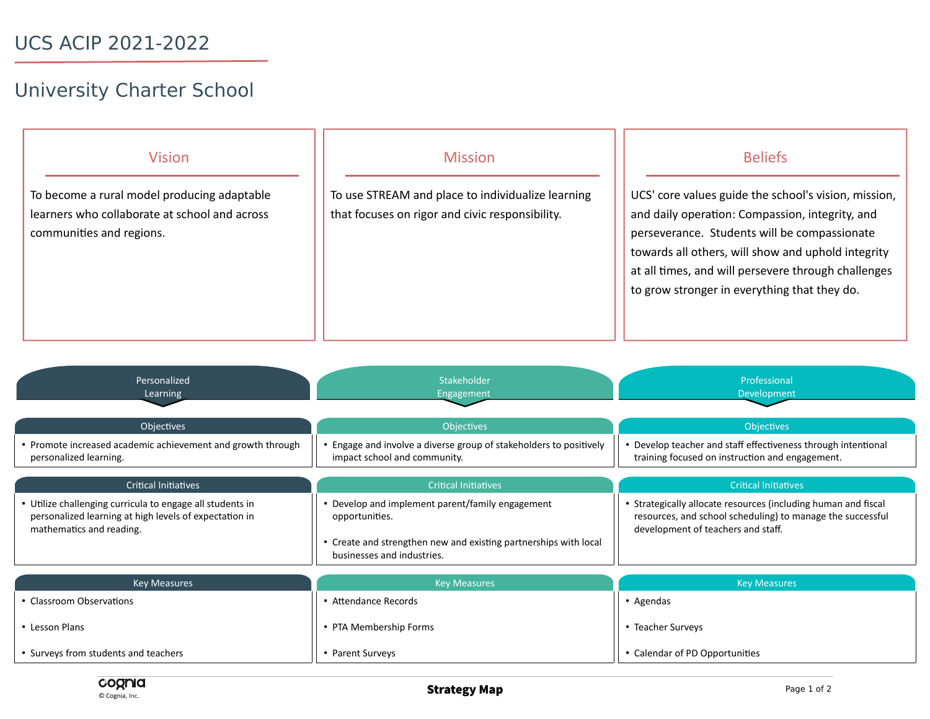## University Charter School

| <b>Vision</b>                                                             | <b>Mission</b>                                    | <b>Beliefs</b>                                                                                                                                                                                                                                               |
|---------------------------------------------------------------------------|---------------------------------------------------|--------------------------------------------------------------------------------------------------------------------------------------------------------------------------------------------------------------------------------------------------------------|
| To become a rural model producing adaptable                               | To use STREAM and place to individualize learning | UCS' core values guide the school's vision, mission,                                                                                                                                                                                                         |
| learners who collaborate at school and across<br>communities and regions. | that focuses on rigor and civic responsibility.   | and daily operation: Compassion, integrity, and<br>perseverance. Students will be compassionate<br>towards all others, will show and uphold integrity<br>at all times, and will persevere through challenges<br>to grow stronger in everything that they do. |

| Personalized<br>Learning                                                                                                                        | Stakeholder<br>Engagement                                                                                                                                            | Professional<br><b>Development</b>                                                                                                                                 |
|-------------------------------------------------------------------------------------------------------------------------------------------------|----------------------------------------------------------------------------------------------------------------------------------------------------------------------|--------------------------------------------------------------------------------------------------------------------------------------------------------------------|
| <b>Objectives</b>                                                                                                                               | <b>Objectives</b>                                                                                                                                                    | <b>Objectives</b>                                                                                                                                                  |
| • Promote increased academic achievement and growth through<br>personalized learning.                                                           | • Engage and involve a diverse group of stakeholders to positively<br>impact school and community.                                                                   | • Develop teacher and staff effectiveness through intentional<br>training focused on instruction and engagement.                                                   |
| <b>Critical Initiatives</b>                                                                                                                     | <b>Critical Initiatives</b>                                                                                                                                          | <b>Critical Initiatives</b>                                                                                                                                        |
| • Utilize challenging curricula to engage all students in<br>personalized learning at high levels of expectation in<br>mathematics and reading. | • Develop and implement parent/family engagement<br>opportunities.<br>• Create and strengthen new and existing partnerships with local<br>businesses and industries. | • Strategically allocate resources (including human and fiscal<br>resources, and school scheduling) to manage the successful<br>development of teachers and staff. |
| <b>Key Measures</b>                                                                                                                             | <b>Key Measures</b>                                                                                                                                                  | <b>Key Measures</b>                                                                                                                                                |
| • Classroom Observations                                                                                                                        | • Attendance Records                                                                                                                                                 | • Agendas                                                                                                                                                          |
| • Lesson Plans                                                                                                                                  | • PTA Membership Forms                                                                                                                                               | • Teacher Surveys                                                                                                                                                  |
| • Surveys from students and teachers                                                                                                            | • Parent Surveys                                                                                                                                                     | • Calendar of PD Opportunities                                                                                                                                     |